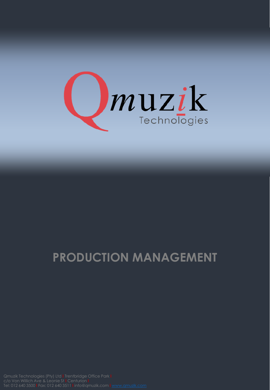

## **PRODUCTION MANAGEMENT**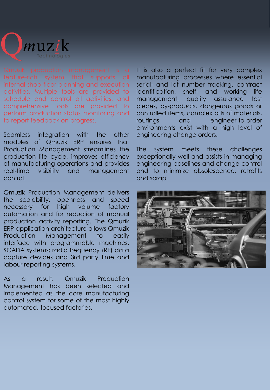

internal shop floor planning and execution activities. Multiple tools are provided to schedule and control all activities, and comprehensive tools are provided to perform production status monitoring and to report feedback on progress.

Seamless integration with the other modules of Qmuzik ERP ensures that Production Management streamlines the production life cycle, improves efficiency of manufacturing operations and provides real-time visibility and management control.

Qmuzik Production Management delivers the scalability, openness and speed necessary for high volume factory automation and for reduction of manual production activity reporting. The Qmuzik ERP application architecture allows Qmuzik Production Management to easily interface with programmable machines, SCADA systems; radio frequency (RF) data capture devices and 3rd party time and labour reporting systems.

As a result, Qmuzik Production Management has been selected and implemented as the core manufacturing control system for some of the most highly automated, focused factories.

It is also a perfect fit for very complex manufacturing processes where essential serial- and lot number tracking, contract identification, shelf- and working life management, quality assurance test pieces, by-products, dangerous goods or controlled items, complex bills of materials, routings and engineer-to-order environments exist with a high level of engineering change orders.

The system meets these challenges exceptionally well and assists in managing engineering baselines and change control and to minimize obsolescence, retrofits and scrap.